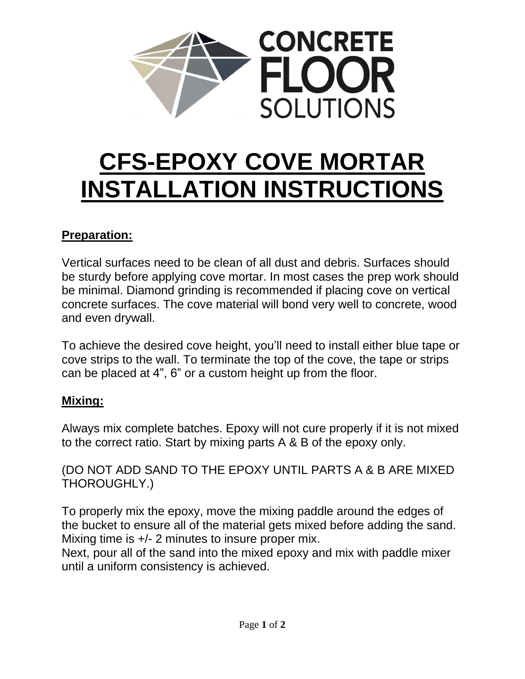

## **CFS-EPOXY COVE MORTAR INSTALLATION INSTRUCTIONS**

## **Preparation:**

Vertical surfaces need to be clean of all dust and debris. Surfaces should be sturdy before applying cove mortar. In most cases the prep work should be minimal. Diamond grinding is recommended if placing cove on vertical concrete surfaces. The cove material will bond very well to concrete, wood and even drywall.

To achieve the desired cove height, you'll need to install either blue tape or cove strips to the wall. To terminate the top of the cove, the tape or strips can be placed at 4", 6" or a custom height up from the floor.

## **Mixing:**

Always mix complete batches. Epoxy will not cure properly if it is not mixed to the correct ratio. Start by mixing parts A & B of the epoxy only.

(DO NOT ADD SAND TO THE EPOXY UNTIL PARTS A & B ARE MIXED THOROUGHLY.)

To properly mix the epoxy, move the mixing paddle around the edges of the bucket to ensure all of the material gets mixed before adding the sand. Mixing time is  $+/- 2$  minutes to insure proper mix.

Next, pour all of the sand into the mixed epoxy and mix with paddle mixer until a uniform consistency is achieved.